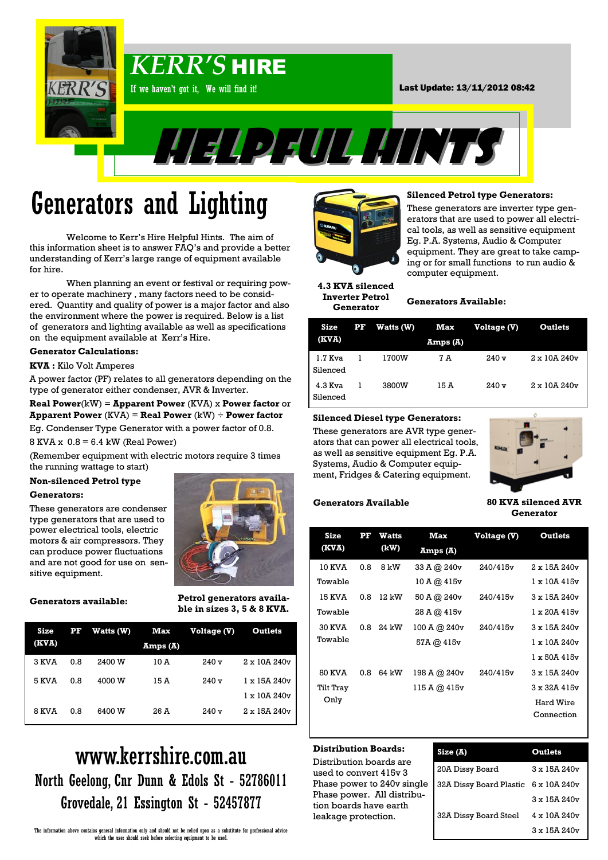

# Generators and Lighting

Welcome to Kerr's Hire Helpful Hints. The aim of this information sheet is to answer FAQ's and provide a better understanding of Kerr's large range of equipment available for hire.

When planning an event or festival or requiring power to operate machinery , many factors need to be considered. Quantity and quality of power is a major factor and also the environment where the power is required. Below is a list of generators and lighting available as well as specifications on the equipment available at Kerr's Hire.

#### **Generator Calculations:**

#### **KVA :** Kilo Volt Amperes

A power factor (PF) relates to all generators depending on the type of generator either condenser, AVR & Inverter.

**Real Power**(kW) = **Apparent Power** (KVA) x **Power factor** or **Apparent Power** (KVA) = **Real Power** (kW) ÷ **Power factor**  Eg. Condenser Type Generator with a power factor of 0.8.

 $8$  KVA  $x$  0.8 = 6.4 kW (Real Power)

(Remember equipment with electric motors require 3 times the running wattage to start)

#### **Non-silenced Petrol type**

#### **Generators:**

These generators are condenser type generators that are used to power electrical tools, electric motors & air compressors. They can produce power fluctuations and are not good for use on sensitive equipment.



**Generators available:**

**Petrol generators available in sizes 3, 5 & 8 KVA.**

| Size  | ${\bf PF}$ | Watts (W) | Max      | Voltage (V) | Outlets            |
|-------|------------|-----------|----------|-------------|--------------------|
| (KVA) |            |           | Amps (A) |             |                    |
| 3 KVA | 0.8        | 2400 W    | 10 A     | 240v        | $2 \times 10A240v$ |
| 5 KVA | 0.8        | 4000 W    | 15 A     | 240v        | 1 x 15A 240v       |
|       |            |           |          |             | 1 x 10A 240v       |
| 8 KVA | 0.8        | 6400 W    | 26 A     | 240v        | $2 \times 15A240v$ |

### **Stripper Ready For Hire** www.kerrshire.com.au North Geelong, Cnr Dunn & Edols St - 52786011 Grovedale, 21 Essington St - 52457877



#### **Silenced Petrol type Generators:**

These generators are inverter type generators that are used to power all electrical tools, as well as sensitive equipment Eg. P.A. Systems, Audio & Computer equipment. They are great to take camping or for small functions to run audio & computer equipment.

**4.3 KVA silenced Inverter Petrol Generator**

#### **Generators Available:**

| Size                  | ${\bf PF}$ | Watts (W) | Max     | Voltage (V) | <b>Outlets</b>     |
|-----------------------|------------|-----------|---------|-------------|--------------------|
| (KVA)                 |            |           | Amps(I) |             |                    |
| $1.7$ Kva<br>Silenced |            | 1700W     | 7 A     | 240v        | $2 \times 10A240v$ |
| $4.3$ Kva<br>Silenced |            | 3800W     | 15 A    | 240v        | $2 \times 10A240v$ |

#### **Silenced Diesel type Generators:**

These generators are AVR type generators that can power all electrical tools, as well as sensitive equipment Eg. P.A. Systems, Audio & Computer equipment, Fridges & Catering equipment.



#### **Generators Available**

#### **80 KVA silenced AVR Generator**

| Size          | ${\bf PF}$ | Watts | Max          | Voltage (V) | Outlets                |
|---------------|------------|-------|--------------|-------------|------------------------|
| (KVA)         |            | (kW)  | Amps(A)      |             |                        |
| 10 KVA        | 0.8        | 8 kW  | 33 A @ 240v  | 240/415v    | $2 \times 15A240v$     |
| Towable       |            |       | 10A@415v     |             | $1 \times 10A415v$     |
| 15 KVA        | 0.8        | 12 kW | 50 A @ 240v  | 240/415v    | 3 x 15A 240v           |
| Towable       |            |       | 28 A @ 415v  |             | $1 \times 20A$ 415 $v$ |
| <b>30 KVA</b> | 0.8        | 24 kW | 100 A @ 240v | 240/415v    | 3 x 15A 240v           |
| Towable       |            |       | 57A @ 415v   |             | $1 \times 10A240v$     |
|               |            |       |              |             | $1 \times 50A$ 415 $v$ |
| <b>80 KVA</b> | 0.8        | 64 kW | 198 A @ 240v | 240/415v    | 3 x 15A 240v           |
| Tilt Tray     |            |       | 115 A @ 415v |             | $3 \times 32A$ 415 $v$ |
| Only          |            |       |              |             | Hard Wire              |
|               |            |       |              |             | Connection             |

#### **Distribution Boards:**

Distribution boards are used to convert 415v 3 Phase power to 240v single Phase power. All distribution boards have earth leakage protection.

| Size(A)                              | Outlets            |
|--------------------------------------|--------------------|
| 20A Dissy Board                      | $3 \times 15A240v$ |
| 32A Dissy Board Plastic 6 x 10A 240v |                    |
|                                      | 3 x 15A 240v       |
| 32A Dissy Board Steel                | 4 x 10A 240v       |
|                                      | $3 \times 15A240v$ |